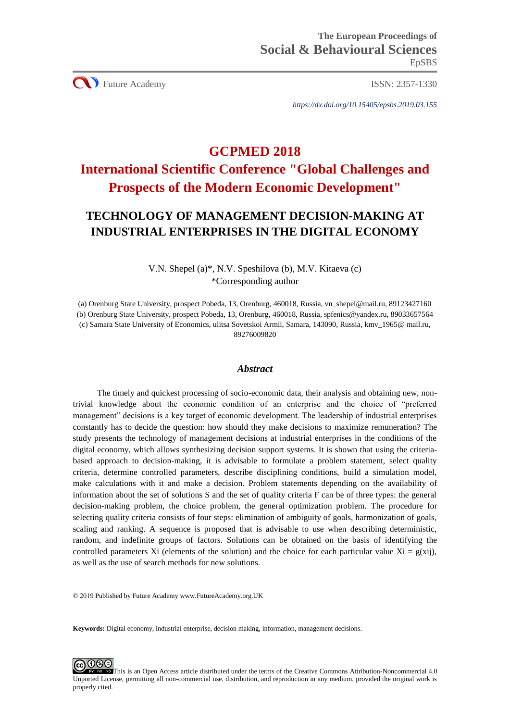CU Future Academy ISSN: 2357-1330

*https://dx.doi.org/10.15405/epsbs.2019.03.155*

# **GCPMED 2018 International Scientific Conference "Global Challenges and Prospects of the Modern Economic Development"**

## **TECHNOLOGY OF MANAGEMENT DECISION-MAKING AT INDUSTRIAL ENTERPRISES IN THE DIGITAL ECONOMY**

V.N. Shepel (a)\*, N.V. Speshilova (b), M.V. Kitaeva (c) \*Corresponding author

(a) Orenburg State University, prospect Pobeda, 13, Orenburg, 460018, Russia, vn\_shepel@mail.ru, 89123427160 (b) Orenburg State University, prospect Pobeda, 13, Orenburg, 460018, Russia, spfenics@yandex.ru, 89033657564 (c) Samara State University of Economics, ulitsa Sovetskoi Armii, Samara, 143090, Russia, kmv\_1965@ mail.ru, 89276009820

## *Abstract*

The timely and quickest processing of socio-economic data, their analysis and obtaining new, nontrivial knowledge about the economic condition of an enterprise and the choice of "preferred management" decisions is a key target of economic development. The leadership of industrial enterprises constantly has to decide the question: how should they make decisions to maximize remuneration? The study presents the technology of management decisions at industrial enterprises in the conditions of the digital economy, which allows synthesizing decision support systems. It is shown that using the criteriabased approach to decision-making, it is advisable to formulate a problem statement, select quality criteria, determine controlled parameters, describe disciplining conditions, build a simulation model, make calculations with it and make a decision. Problem statements depending on the availability of information about the set of solutions S and the set of quality criteria F can be of three types: the general decision-making problem, the choice problem, the general optimization problem. The procedure for selecting quality criteria consists of four steps: elimination of ambiguity of goals, harmonization of goals, scaling and ranking. A sequence is proposed that is advisable to use when describing deterministic, random, and indefinite groups of factors. Solutions can be obtained on the basis of identifying the controlled parameters Xi (elements of the solution) and the choice for each particular value  $Xi = g(xii)$ , as well as the use of search methods for new solutions.

© 2019 Published by Future Academy www.FutureAcademy.org.UK

**Keywords:** Digital economy, industrial enterprise, decision making, information, management decisions.

**@000** [T](http://creativecommons.org/licenses/by-nc-nd/4.0/)his is an Open Access article distributed under the terms of the Creative Commons Attribution-Noncommercial 4.0 Unported License, permitting all non-commercial use, distribution, and reproduction in any medium, provided the original work is properly cited.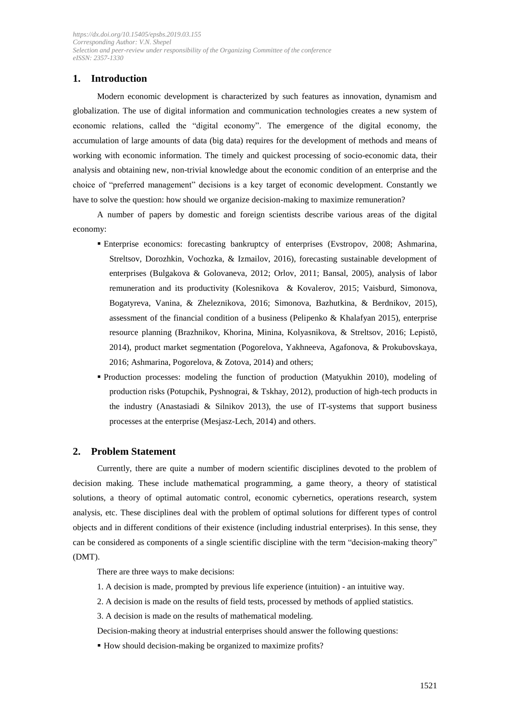## **1. Introduction**

Modern economic development is characterized by such features as innovation, dynamism and globalization. The use of digital information and communication technologies creates a new system of economic relations, called the "digital economy". The emergence of the digital economy, the accumulation of large amounts of data (big data) requires for the development of methods and means of working with economic information. The timely and quickest processing of socio-economic data, their analysis and obtaining new, non-trivial knowledge about the economic condition of an enterprise and the choice of "preferred management" decisions is a key target of economic development. Constantly we have to solve the question: how should we organize decision-making to maximize remuneration?

A number of papers by domestic and foreign scientists describe various areas of the digital economy:

- Enterprise economics: forecasting bankruptcy of enterprises (Evstropov, 2008; Ashmarina, Streltsov, Dorozhkin, Vochozka, & Izmailov, 2016), forecasting sustainable development of enterprises (Bulgakova & Golovaneva, 2012; Orlov, 2011; Bansal, 2005), analysis of labor remuneration and its productivity (Kolesnikova & Kovalerov, 2015; Vaisburd, Simonova, Bogatyreva, Vanina, & Zheleznikova, 2016; Simonova, Bazhutkina, & Berdnikov, 2015), assessment of the financial condition of a business (Pelipenko & Khalafyan 2015), enterprise resource planning (Brazhnikov, Khorina, Minina, Kolyasnikova, & Streltsov, 2016; Lepistö, 2014), product market segmentation (Pogorelova, Yakhneeva, Agafonova, & Prokubovskaya, 2016; Ashmarina, Pogorelova, & Zotova, 2014) and others;
- Production processes: modeling the function of production (Matyukhin 2010), modeling of production risks (Potupchik, Pyshnograi, & Tskhay, 2012), production of high-tech products in the industry (Anastasiadi & Silnikov 2013), the use of IT-systems that support business processes at the enterprise (Mesjasz-Lech, 2014) and others.

## **2. Problem Statement**

Currently, there are quite a number of modern scientific disciplines devoted to the problem of decision making. These include mathematical programming, a game theory, a theory of statistical solutions, a theory of optimal automatic control, economic cybernetics, operations research, system analysis, etc. These disciplines deal with the problem of optimal solutions for different types of control objects and in different conditions of their existence (including industrial enterprises). In this sense, they can be considered as components of a single scientific discipline with the term "decision-making theory" (DMT).

There are three ways to make decisions:

- 1. A decision is made, prompted by previous life experience (intuition) an intuitive way.
- 2. A decision is made on the results of field tests, processed by methods of applied statistics.
- 3. A decision is made on the results of mathematical modeling.
- Decision-making theory at industrial enterprises should answer the following questions:
- How should decision-making be organized to maximize profits?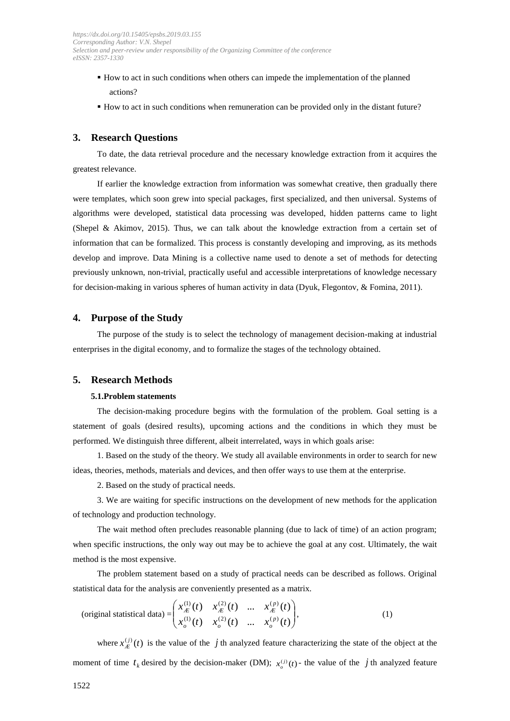- How to act in such conditions when others can impede the implementation of the planned actions?
- How to act in such conditions when remuneration can be provided only in the distant future?

## **3. Research Questions**

To date, the data retrieval procedure and the necessary knowledge extraction from it acquires the greatest relevance.

If earlier the knowledge extraction from information was somewhat creative, then gradually there were templates, which soon grew into special packages, first specialized, and then universal. Systems of algorithms were developed, statistical data processing was developed, hidden patterns came to light (Shepel & Akimov, 2015). Thus, we can talk about the knowledge extraction from a certain set of information that can be formalized. This process is constantly developing and improving, as its methods develop and improve. Data Mining is a collective name used to denote a set of methods for detecting previously unknown, non-trivial, practically useful and accessible interpretations of knowledge necessary for decision-making in various spheres of human activity in data (Dyuk, Flegontov, & Fomina, 2011).

## **4. Purpose of the Study**

The purpose of the study is to select the technology of management decision-making at industrial enterprises in the digital economy, and to formalize the stages of the technology obtained.

## **5. Research Methods**

#### **5.1.Problem statements**

The decision-making procedure begins with the formulation of the problem. Goal setting is a statement of goals (desired results), upcoming actions and the conditions in which they must be performed. We distinguish three different, albeit interrelated, ways in which goals arise:

1. Based on the study of the theory. We study all available environments in order to search for new ideas, theories, methods, materials and devices, and then offer ways to use them at the enterprise.

2. Based on the study of practical needs.

3. We are waiting for specific instructions on the development of new methods for the application of technology and production technology.

The wait method often precludes reasonable planning (due to lack of time) of an action program; when specific instructions, the only way out may be to achieve the goal at any cost. Ultimately, the wait method is the most expensive.

The problem statement based on a study of practical needs can be described as follows. Original statistical data for the analysis are conveniently presented as a matrix.

(original statistical data) = 
$$
\begin{pmatrix} x_{\mathcal{L}}^{(1)}(t) & x_{\mathcal{L}}^{(2)}(t) & \dots & x_{\mathcal{L}}^{(p)}(t) \\ x_{o}^{(1)}(t) & x_{o}^{(2)}(t) & \dots & x_{o}^{(p)}(t) \end{pmatrix},
$$
 (1)

where  $x_{\text{A}}^{(j)}(t)$  is the value of the *j* th analyzed feature characterizing the state of the object at the moment of time  $t_k$  desired by the decision-maker (DM);  $x_o^{(j)}(t)$  - the value of the *j* th analyzed feature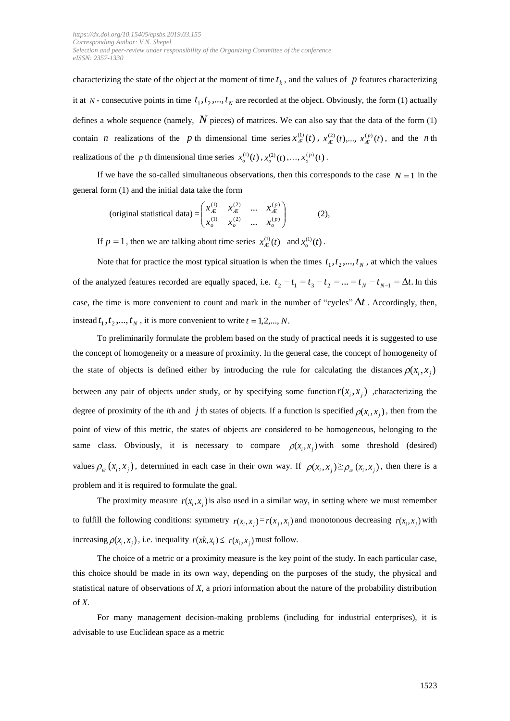characterizing the state of the object at the moment of time  $t<sub>k</sub>$ , and the values of  $p$  features characterizing it at  $N$ - consecutive points in time  $t_1, t_2, ..., t_N$  are recorded at the object. Obviously, the form (1) actually defines a whole sequence (namely, *N* pieces) of matrices. We can also say that the data of the form (1) contain *n* realizations of the *p* th dimensional time series  $x_{\mathcal{L}}^{(1)}(t)$ ,  $x_{\mathcal{L}}^{(2)}(t)$ ,  $x_{\mathcal{L}}^{(p)}(t)$ , and the *n* th realizations of the p th dimensional time series  $x_o^{(1)}(t)$ ,  $x_o^{(2)}(t)$ , ...,  $x_o^{(p)}(t)$ .

If we have the so-called simultaneous observations, then this corresponds to the case  $N = 1$  in the general form (1) and the initial data take the form

(original statistical data) = 
$$
\begin{pmatrix} x_{\mathcal{L}}^{(1)} & x_{\mathcal{L}}^{(2)} & \dots & x_{\mathcal{L}}^{(p)} \\ x_{o}^{(1)} & x_{o}^{(2)} & \dots & x_{o}^{(p)} \end{pmatrix}
$$
 (2),

If  $p = 1$ , then we are talking about time series  $x_{\mathcal{L}}^{(1)}(t)$  and  $x_o^{(1)}(t)$ .

Note that for practice the most typical situation is when the times  $t_1, t_2, ..., t_N$ , at which the values of the analyzed features recorded are equally spaced, i.e.  $t_2 - t_1 = t_3 - t_2 = ... = t_N - t_{N-1} = \Delta t$ . In this case, the time is more convenient to count and mark in the number of "cycles"  $\Delta t$ . Accordingly, then, instead  $t_1, t_2, \ldots, t_N$ , it is more convenient to write  $t = 1, 2, \ldots, N$ .

To preliminarily formulate the problem based on the study of practical needs it is suggested to use the concept of homogeneity or a measure of proximity. In the general case, the concept of homogeneity of the state of objects is defined either by introducing the rule for calculating the distances  $\rho(x_i, x_j)$ between any pair of objects under study, or by specifying some function  $r(x_i, x_j)$ , characterizing the degree of proximity of the *i*th and *j* th states of objects. If a function is specified  $\rho(x_i, x_j)$ , then from the point of view of this metric, the states of objects are considered to be homogeneous, belonging to the same class. Obviously, it is necessary to compare  $\rho(x_i, x_j)$  with some threshold (desired) values  $\rho_{\alpha}(x_i, x_j)$ , determined in each case in their own way. If  $\rho(x_i, x_j) \ge \rho_{\alpha}(x_i, x_j)$ , then there is a problem and it is required to formulate the goal.

The proximity measure  $r(x_i, x_j)$  is also used in a similar way, in setting where we must remember to fulfill the following conditions: symmetry  $r(x_i, x_j) = r(x_j, x_i)$  and monotonous decreasing  $r(x_i, x_j)$  with increasing  $\rho(x_i, x_j)$ , i.e. inequality  $r(x, x_j) \leq r(x_i, x_j)$  must follow.

The choice of a metric or a proximity measure is the key point of the study. In each particular case, this choice should be made in its own way, depending on the purposes of the study, the physical and statistical nature of observations of *X*, a priori information about the nature of the probability distribution of *X*.

For many management decision-making problems (including for industrial enterprises), it is advisable to use Euclidean space as a metric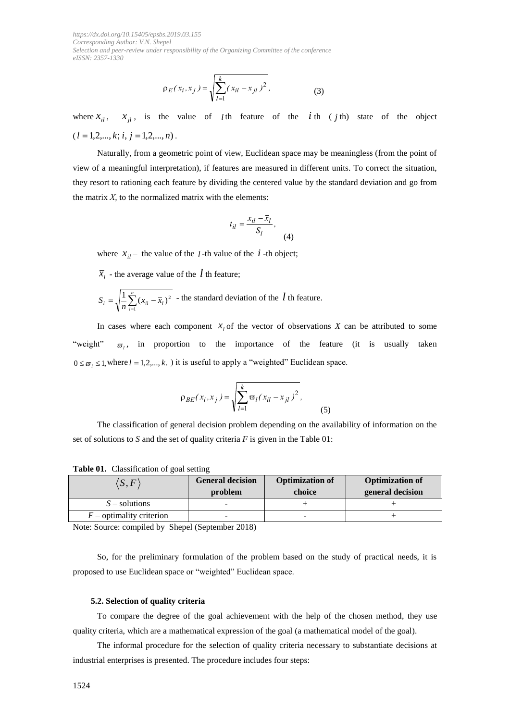$$
\rho_E(x_i, x_j) = \sqrt{\sum_{l=1}^k (x_{il} - x_{jl})^2},
$$
\n(3)

where  $x_{il}$ ,  $x_{jl}$ , is the value of *l* th feature of the *i* th (*j* th) state of the object  $(l = 1, 2, \ldots, k; i, j = 1, 2, \ldots, n).$ 

 $P_E(X_i, X_j) = \sqrt{\sum_i (X_i - X_{ji})^2}$ ,<br>
where  $X_{ij}$ ,  $X_{ji}$ , is the value of *t*th feature<br>  $(I = 1, 2, ..., k; i, j = 1, 2, ..., n)$ .<br>
Naturally, from a geometric point of view, Fuclida<br>
view of a meaningful interpretation, if features are mean Naturally, from a geometric point of view, Euclidean space may be meaningless (from the point of view of a meaningful interpretation), if features are measured in different units. To correct the situation, they resort to rationing each feature by dividing the centered value by the standard deviation and go from the matrix  $X$ , to the normalized matrix with the elements:

$$
t_{il} = \frac{x_{il} - \bar{x}_l}{S_l},
$$
\n(4)

where  $x_{il}$  – the value of the *l* -th value of the *i* -th object;

 $\bar{x}_l$  - the average value of the  $\ell$  th feature;

$$
S_{i} = \sqrt{\frac{1}{n} \sum_{i=1}^{n} (x_{ii} - \overline{x}_{i})^{2}}
$$
 - the standard deviation of the *l* th feature.

In cases where each component  $x_i$  of the vector of observations  $X$  can be attributed to some "weight"  $\overline{\omega}_l$ , in proportion to the importance of the feature (it is usually taken  $0 \leq \varpi_l \leq 1$ , where  $l = 1, 2, ..., k$ . ) it is useful to apply a "weighted" Euclidean space.

$$
\rho_{BE}(x_i, x_j) = \sqrt{\sum_{l=1}^{k} \varpi_l (x_{il} - x_{jl})^2},
$$
\n(5)

The classification of general decision problem depending on the availability of information on the set of solutions to *S* and the set of quality criteria *F* is given in the Table 01:

| $\langle S, F \rangle$     | <b>General decision</b><br>problem | <b>Optimization of</b><br>choice | <b>Optimization of</b><br>general decision |
|----------------------------|------------------------------------|----------------------------------|--------------------------------------------|
| $S$ – solutions            |                                    |                                  |                                            |
| $F$ – optimality criterion |                                    | -                                |                                            |

**Table 01.** Classification of goal setting

Note: Source: compiled by Shepel (September 2018)

So, for the preliminary formulation of the problem based on the study of practical needs, it is proposed to use Euclidean space or "weighted" Euclidean space.

#### **5.2. Selection of quality criteria**

To compare the degree of the goal achievement with the help of the chosen method, they use quality criteria, which are a mathematical expression of the goal (a mathematical model of the goal).

The informal procedure for the selection of quality criteria necessary to substantiate decisions at industrial enterprises is presented. The procedure includes four steps: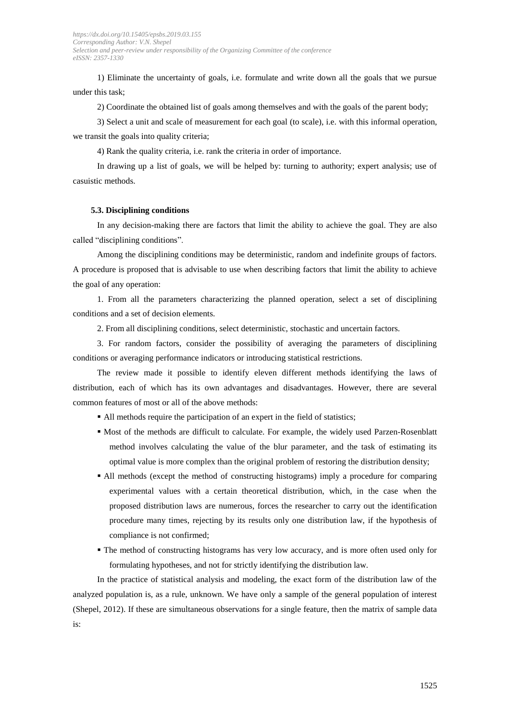1) Eliminate the uncertainty of goals, i.e. formulate and write down all the goals that we pursue under this task;

2) Coordinate the obtained list of goals among themselves and with the goals of the parent body;

3) Select a unit and scale of measurement for each goal (to scale), i.e. with this informal operation, we transit the goals into quality criteria;

4) Rank the quality criteria, i.e. rank the criteria in order of importance.

In drawing up a list of goals, we will be helped by: turning to authority; expert analysis; use of casuistic methods.

#### **5.3. Disciplining conditions**

In any decision-making there are factors that limit the ability to achieve the goal. They are also called "disciplining conditions".

Among the disciplining conditions may be deterministic, random and indefinite groups of factors. A procedure is proposed that is advisable to use when describing factors that limit the ability to achieve the goal of any operation:

1. From all the parameters characterizing the planned operation, select a set of disciplining conditions and a set of decision elements.

2. From all disciplining conditions, select deterministic, stochastic and uncertain factors.

3. For random factors, consider the possibility of averaging the parameters of disciplining conditions or averaging performance indicators or introducing statistical restrictions.

The review made it possible to identify eleven different methods identifying the laws of distribution, each of which has its own advantages and disadvantages. However, there are several common features of most or all of the above methods:

- All methods require the participation of an expert in the field of statistics;
- Most of the methods are difficult to calculate. For example, the widely used Parzen-Rosenblatt method involves calculating the value of the blur parameter, and the task of estimating its optimal value is more complex than the original problem of restoring the distribution density;
- All methods (except the method of constructing histograms) imply a procedure for comparing experimental values with a certain theoretical distribution, which, in the case when the proposed distribution laws are numerous, forces the researcher to carry out the identification procedure many times, rejecting by its results only one distribution law, if the hypothesis of compliance is not confirmed;
- The method of constructing histograms has very low accuracy, and is more often used only for formulating hypotheses, and not for strictly identifying the distribution law.

In the practice of statistical analysis and modeling, the exact form of the distribution law of the analyzed population is, as a rule, unknown. We have only a sample of the general population of interest (Shepel, 2012). If these are simultaneous observations for a single feature, then the matrix of sample data is: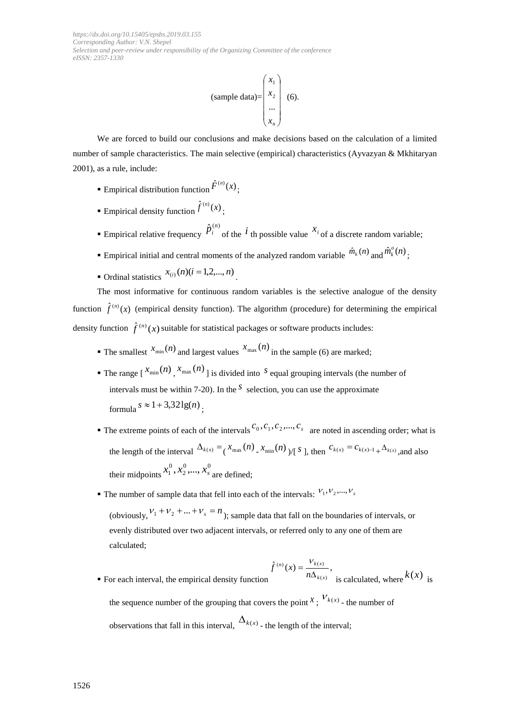(sample data) = 
$$
\begin{pmatrix} x_1 \\ x_2 \\ \dots \\ x_n \end{pmatrix}
$$
 (6).

We are forced to build our conclusions and make decisions based on the calculation of a limited number of sample characteristics. The main selective (empirical) characteristics (Ayvazyan & Mkhitaryan 2001), as a rule, include:

- Empirical distribution function  $\hat{F}^{(n)}(x)$ ;
- **E**mpirical density function  $\hat{f}^{(n)}(x)$ ;
- **Empirical relative frequency**  $\hat{p}_i^{(n)}$  of the *i* th possible value  $x_i$  of a discrete random variable;
- **Empirical initial and central moments of the analyzed random variable**  $\hat{m}_k(n)$  **and**  $\hat{m}_k^o(n)$ **;**
- Ordinal statistics  $x_{(i)}(n)$  ( $i = 1, 2, ..., n$ ).

The most informative for continuous random variables is the selective analogue of the density function  $\hat{f}^{(n)}(x)$  (empirical density function). The algorithm (procedure) for determining the empirical density function  $\hat{f}^{(n)}(x)$  suitable for statistical packages or software products includes:

- **The smallest**  $x_{min}(n)$  and largest values  $x_{max}(n)$  in the sample (6) are marked;
- **The range**  $\left[ x_{\min}(n) \right]$ **,**  $x_{\max}(n)$  **is divided into** *S* **equal grouping intervals (the number of** intervals must be within 7-20). In the  $<sup>S</sup>$  selection, you can use the approximate</sup> formula  $s \approx 1 + 3,32\lg(n)$ ;
- $\blacksquare$  The extreme points of each of the intervals  $c_0, c_1, c_2, ..., c_s$  are noted in ascending order; what is the length of the interval  $\Delta_{k(x)} = \frac{x_{\text{max}}(n)}{x_{\text{min}}(n)}$   $\int_{0}^{x} s$ , then  $c_{k(x)} = c_{k(x)-1} + \Delta_{k(x)}$ , and also their midpoints  $0 \sim 0$ 2 0  $x_1^0, x_2^0, ..., x_s^0$  are defined;
- **The number of sample data that fell into each of the intervals:**  $V_1, V_2, ..., V_s$

(obviously,  $v_1 + v_2 + ... + v_s = n$ ); sample data that fall on the boundaries of intervals, or evenly distributed over two adjacent intervals, or referred only to any one of them are calculated;

• For each interval, the empirical density function 
$$
\hat{f}^{(n)}(x) = \frac{v_{k(x)}}{n\Delta_{k(x)}}
$$
, is calculated, where  $k(x)$  is

the sequence number of the grouping that covers the point  $x$ ,  $V_{k(x)}$  - the number of observations that fall in this interval,  $\Delta_{k}(x)$  - the length of the interval;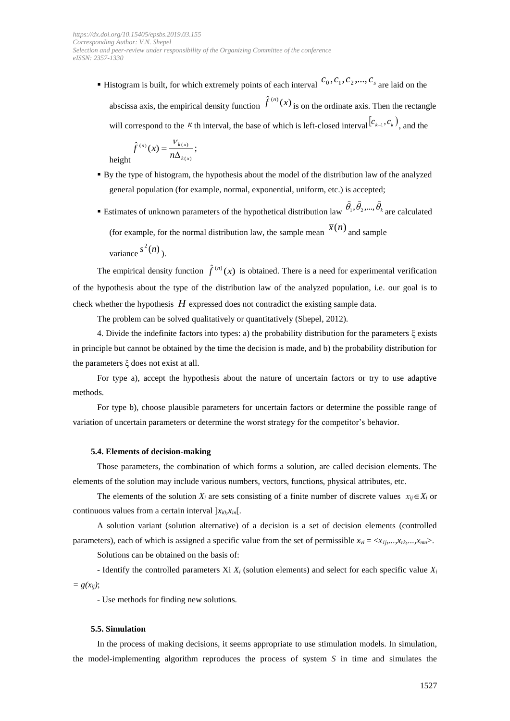**E** Histogram is built, for which extremely points of each interval  $c_0$ ,  $c_1$ ,  $c_2$ , ...,  $c_s$  are laid on the abscissa axis, the empirical density function  $\hat{f}^{(n)}(x)$  is on the ordinate axis. Then the rectangle will correspond to the K th interval, the base of which is left-closed interval  $(c_{k-1}, c_k)$ , and the

$$
\hat{f}^{(n)}(x) = \frac{V_{k(x)}}{n\Delta_{k(x)}};
$$

height

- By the type of histogram, the hypothesis about the model of the distribution law of the analyzed general population (for example, normal, exponential, uniform, etc.) is accepted;
- **E** Estimates of unknown parameters of the hypothetical distribution law  $\theta_1, \theta_2, ..., \theta_k$  $\frac{1}{2}$   $\frac{1}{2}$   $\frac{1}{2}$  $\theta_1, \theta_2, ..., \theta_k$  are calculated (for example, for the normal distribution law, the sample mean  $\bar{x}(n)$  and sample

variance  $s^2(n)$ .

The empirical density function  $\hat{f}^{(n)}(x)$  is obtained. There is a need for experimental verification of the hypothesis about the type of the distribution law of the analyzed population, i.e. our goal is to check whether the hypothesis *H* expressed does not contradict the existing sample data.

The problem can be solved qualitatively or quantitatively (Shepel, 2012).

4. Divide the indefinite factors into types: a) the probability distribution for the parameters ξ exists in principle but cannot be obtained by the time the decision is made, and b) the probability distribution for the parameters ξ does not exist at all.

For type a), accept the hypothesis about the nature of uncertain factors or try to use adaptive methods.

For type b), choose plausible parameters for uncertain factors or determine the possible range of variation of uncertain parameters or determine the worst strategy for the competitor's behavior.

#### **5.4. Elements of decision-making**

Those parameters, the combination of which forms a solution, are called decision elements. The elements of the solution may include various numbers, vectors, functions, physical attributes, etc.

The elements of the solution  $X_i$  are sets consisting of a finite number of discrete values  $x_{ij} \in X_i$  or continuous values from a certain interval  $x_{i0}, x_{in}$ [.

A solution variant (solution alternative) of a decision is a set of decision elements (controlled parameters), each of which is assigned a specific value from the set of permissible  $x_{vi} = \langle x_{1i},...,x_{rk},...,x_{mn}\rangle$ .

Solutions can be obtained on the basis of:

- Identify the controlled parameters Xi *X<sup>i</sup>* (solution elements) and select for each specific value *X<sup>i</sup>*  $= g(x_{ij})$ ;

- Use methods for finding new solutions.

#### **5.5. Simulation**

In the process of making decisions, it seems appropriate to use stimulation models. In simulation, the model-implementing algorithm reproduces the process of system *S* in time and simulates the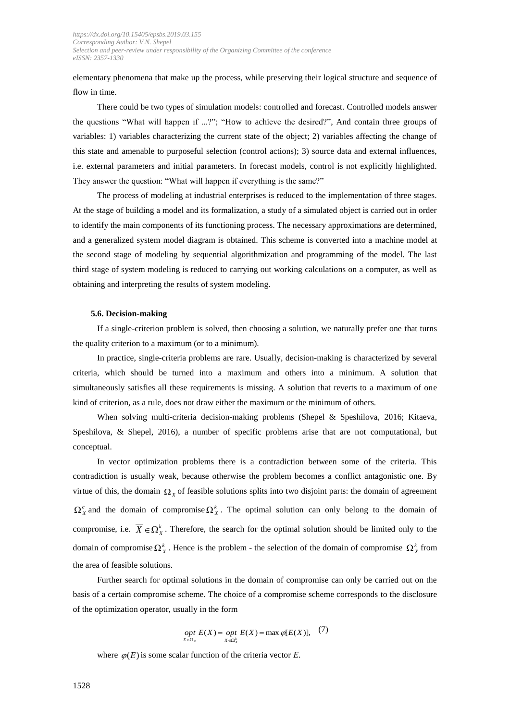elementary phenomena that make up the process, while preserving their logical structure and sequence of flow in time.

There could be two types of simulation models: controlled and forecast. Controlled models answer the questions "What will happen if ...?"; "How to achieve the desired?", And contain three groups of variables: 1) variables characterizing the current state of the object; 2) variables affecting the change of this state and amenable to purposeful selection (control actions); 3) source data and external influences, i.e. external parameters and initial parameters. In forecast models, control is not explicitly highlighted. They answer the question: "What will happen if everything is the same?"

The process of modeling at industrial enterprises is reduced to the implementation of three stages. At the stage of building a model and its formalization, a study of a simulated object is carried out in order to identify the main components of its functioning process. The necessary approximations are determined, and a generalized system model diagram is obtained. This scheme is converted into a machine model at the second stage of modeling by sequential algorithmization and programming of the model. The last third stage of system modeling is reduced to carrying out working calculations on a computer, as well as obtaining and interpreting the results of system modeling.

#### **5.6. Decision-making**

If a single-criterion problem is solved, then choosing a solution, we naturally prefer one that turns the quality criterion to a maximum (or to a minimum).

In practice, single-criteria problems are rare. Usually, decision-making is characterized by several criteria, which should be turned into a maximum and others into a minimum. A solution that simultaneously satisfies all these requirements is missing. A solution that reverts to a maximum of one kind of criterion, as a rule, does not draw either the maximum or the minimum of others.

When solving multi-criteria decision-making problems (Shepel & Speshilova, 2016; Kitaeva, Speshilova, & Shepel, 2016), a number of specific problems arise that are not computational, but conceptual.

In vector optimization problems there is a contradiction between some of the criteria. This contradiction is usually weak, because otherwise the problem becomes a conflict antagonistic one. By virtue of this, the domain  $\Omega_X$  of feasible solutions splits into two disjoint parts: the domain of agreement  $\Omega_X^c$  and the domain of compromise  $\Omega_X^k$ . The optimal solution can only belong to the domain of compromise, i.e.  $\overline{X} \in \Omega_X^k$ . Therefore, the search for the optimal solution should be limited only to the domain of compromise  $\Omega^k_X$ . Hence is the problem - the selection of the domain of compromise  $\Omega^k_X$  from the area of feasible solutions.

Further search for optimal solutions in the domain of compromise can only be carried out on the basis of a certain compromise scheme. The choice of a compromise scheme corresponds to the disclosure of the optimization operator, usually in the form

$$
opt\ E(X) = opt\ E(X) = \max_{X \in \Omega_X^k} \varphi[E(X)], \quad (7)
$$

where  $\varphi(E)$  is some scalar function of the criteria vector *E*.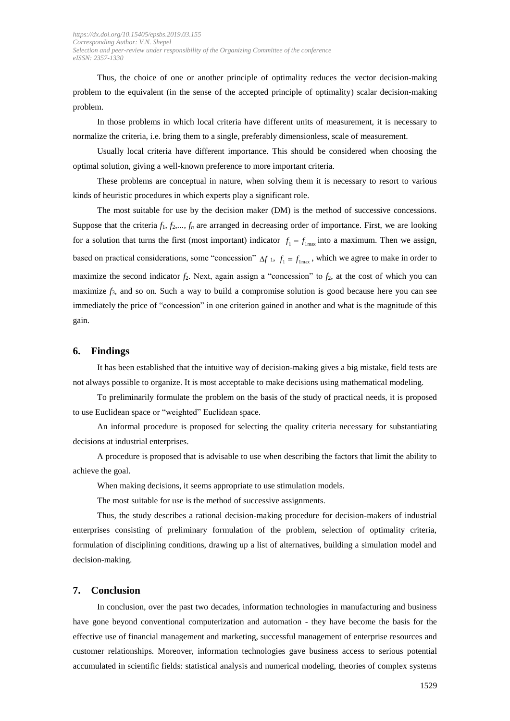Thus, the choice of one or another principle of optimality reduces the vector decision-making problem to the equivalent (in the sense of the accepted principle of optimality) scalar decision-making problem.

In those problems in which local criteria have different units of measurement, it is necessary to normalize the criteria, i.e. bring them to a single, preferably dimensionless, scale of measurement.

Usually local criteria have different importance. This should be considered when choosing the optimal solution, giving a well-known preference to more important criteria.

These problems are conceptual in nature, when solving them it is necessary to resort to various kinds of heuristic procedures in which experts play a significant role.

The most suitable for use by the decision maker (DM) is the method of successive concessions. Suppose that the criteria  $f_1, f_2, \ldots, f_n$  are arranged in decreasing order of importance. First, we are looking for a solution that turns the first (most important) indicator  $f_1 = f_{1\text{max}}$  into a maximum. Then we assign, based on practical considerations, some "concession"  $\Delta f$  1,  $f_1 = f_{1\text{max}}$ , which we agree to make in order to maximize the second indicator  $f_2$ . Next, again assign a "concession" to  $f_2$ , at the cost of which you can maximize  $f_3$ , and so on. Such a way to build a compromise solution is good because here you can see immediately the price of "concession" in one criterion gained in another and what is the magnitude of this gain.

## **6. Findings**

It has been established that the intuitive way of decision-making gives a big mistake, field tests are not always possible to organize. It is most acceptable to make decisions using mathematical modeling.

To preliminarily formulate the problem on the basis of the study of practical needs, it is proposed to use Euclidean space or "weighted" Euclidean space.

An informal procedure is proposed for selecting the quality criteria necessary for substantiating decisions at industrial enterprises.

A procedure is proposed that is advisable to use when describing the factors that limit the ability to achieve the goal.

When making decisions, it seems appropriate to use stimulation models.

The most suitable for use is the method of successive assignments.

Thus, the study describes a rational decision-making procedure for decision-makers of industrial enterprises consisting of preliminary formulation of the problem, selection of optimality criteria, formulation of disciplining conditions, drawing up a list of alternatives, building a simulation model and decision-making.

## **7. Conclusion**

In conclusion, over the past two decades, information technologies in manufacturing and business have gone beyond conventional computerization and automation - they have become the basis for the effective use of financial management and marketing, successful management of enterprise resources and customer relationships. Moreover, information technologies gave business access to serious potential accumulated in scientific fields: statistical analysis and numerical modeling, theories of complex systems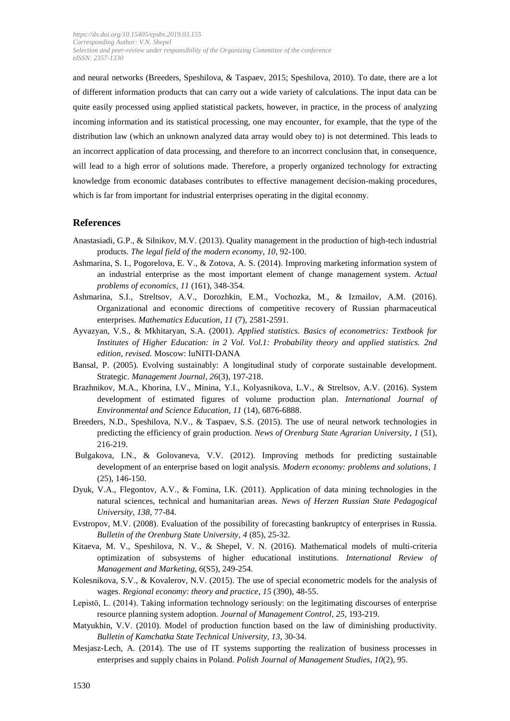and neural networks (Breeders, Speshilova, & Taspaev, 2015; Speshilova, 2010). To date, there are a lot of different information products that can carry out a wide variety of calculations. The input data can be quite easily processed using applied statistical packets, however, in practice, in the process of analyzing incoming information and its statistical processing, one may encounter, for example, that the type of the distribution law (which an unknown analyzed data array would obey to) is not determined. This leads to an incorrect application of data processing, and therefore to an incorrect conclusion that, in consequence, will lead to a high error of solutions made. Therefore, a properly organized technology for extracting knowledge from economic databases contributes to effective management decision-making procedures, which is far from important for industrial enterprises operating in the digital economy.

## **References**

- Anastasiadi, G.P., & Silnikov, M.V. (2013). Quality management in the production of high-tech industrial products. *The legal field of the modern economy*, *10*, 92-100.
- Ashmarina, S. I., Pogorelova, E. V., & Zotova, A. S. (2014). Improving marketing information system of an industrial enterprise as the most important element of change management system. *Actual problems of economics*, *11* (161), 348-354.
- Ashmarina, S.I., Streltsov, A.V., Dorozhkin, E.M., Vochozka, M., & Izmailov, A.M. (2016). Organizational and economic directions of competitive recovery of Russian pharmaceutical enterprises. *Mathematics Education*, *11* (7), 2581-2591.
- Ayvazyan, V.S., & Mkhitaryan, S.A. (2001). *Applied statistics. Basics of econometrics: Textbook for Institutes of Higher Education: in 2 Vol. Vol.1: Probability theory and applied statistics. 2nd edition, revised.* Moscow: IuNITI-DANA
- Bansal, P. (2005)*.* Evolving sustainably: A longitudinal study of corporate sustainable development. Strategic. *Management Journal*, *26*(3), 197-218.
- Brazhnikov, M.A., Khorina, I.V., Minina, Y.I., Kolyasnikova, L.V., & Streltsov, A.V. (2016). System development of estimated figures of volume production plan. *International Journal of Environmental and Science Education*, *11* (14), 6876-6888.
- Breeders, N.D., Speshilova, N.V., & Taspaev, S.S. (2015). The use of neural network technologies in predicting the efficiency of grain production. *News of Orenburg State Agrarian University*, *1* (51), 216-219.
- Bulgakova, I.N., & Golovaneva, V.V. (2012). Improving methods for predicting sustainable development of an enterprise based on logit analysis. *Modern economy: problems and solutions*, *1* (25), 146-150.
- Dyuk, V.A., Flegontov, A.V., & Fomina, I.K. (2011). Application of data mining technologies in the natural sciences, technical and humanitarian areas. *News of Herzen Russian State Pedagogical University*, *138*, 77-84.
- Evstropov, M.V. (2008). Evaluation of the possibility of forecasting bankruptcy of enterprises in Russia. *Bulletin of the Orenburg State University*, *4* (85), 25-32.
- Kitaeva, M. V., Speshilova, N. V., & Shepel, V. N. (2016). Mathematical models of multi-criteria optimization of subsystems of higher educational institutions. *International Review of Management and Marketing*, *6*(S5), 249-254.
- Kolesnikova, S.V., & Kovalerov, N.V. (2015). The use of special econometric models for the analysis of wages. *Regional economy: theory and practice*, *15* (390), 48-55.
- Lepistö, L. (2014). Taking information technology seriously: on the legitimating discourses of enterprise resource planning system adoption. *Journal of Management Control*, *25*, 193-219.
- Matyukhin, V.V. (2010). Model of production function based on the law of diminishing productivity. *Bulletin of Kamchatka State Technical University*, *13*, 30-34.
- Mesjasz-Lech, A. (2014). The use of IT systems supporting the realization of business processes in enterprises and supply chains in Poland. *Polish Journal of Management Studies*, *10*(2), 95.